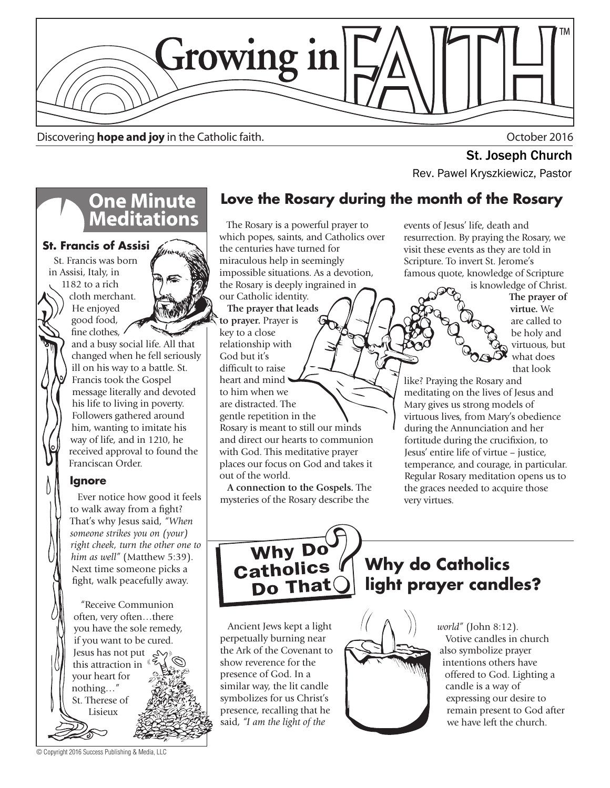

Discovering **hope and joy** in the Catholic faith. October 2016

**One Minute<br>Meditations** 

and a busy social life. All that changed when he fell seriously ill on his way to a battle. St. Francis took the Gospel message literally and devoted his life to living in poverty. Followers gathered around him, wanting to imitate his way of life, and in 1210, he received approval to found the

 Ever notice how good it feels to walk away from a fight? That's why Jesus said, *"When someone strikes you on (your) right cheek, turn the other one to him as well"* (Matthew 5:39). Next time someone picks a fight, walk peacefully away.

 "Receive Communion often, very often…there you have the sole remedy, if you want to be cured. Jesus has not put this attraction in your heart for nothing…" St. Therese of Lisieux

Franciscan Order.

**Ignore**

**St. Francis of Assisi** St. Francis was born in Assisi, Italy, in 1182 to a rich cloth merchant. He enjoyed good food, fine clothes.

**St. Joseph Church<br>Rev. Pawel Kryszkiewicz, Pastor** 

#### **Love the Rosary during the month of the Rosary**

 The Rosary is a powerful prayer to which popes, saints, and Catholics over the centuries have turned for miraculous help in seemingly impossible situations. As a devotion, the Rosary is deeply ingrained in our Catholic identity.  **The prayer that leads to prayer.** Prayer is key to a close relationship with God but it's difficult to raise heart and mind to him when we are distracted. The

gentle repetition in the Rosary is meant to still our minds and direct our hearts to communion with God. This meditative prayer places our focus on God and takes it out of the world.

 **A connection to the Gospels.** The mysteries of the Rosary describe the

events of Jesus' life, death and resurrection. By praying the Rosary, we visit these events as they are told in Scripture. To invert St. Jerome's famous quote, knowledge of Scripture

> is knowledge of Christ.  **The prayer of virtue.** We are called to be holy and virtuous, but what does that look

like? Praying the Rosary and meditating on the lives of Jesus and Mary gives us strong models of virtuous lives, from Mary's obedience during the Annunciation and her fortitude during the crucifixion, to Jesus' entire life of virtue – justice, temperance, and courage, in particular. Regular Rosary meditation opens us to the graces needed to acquire those very virtues.



 Ancient Jews kept a light perpetually burning near the Ark of the Covenant to show reverence for the presence of God. In a similar way, the lit candle symbolizes for us Christ's presence, recalling that he said, *"I am the light of the* 

## **Why do Catholics light prayer candles?**



*world"* (John 8:12). Votive candles in church also symbolize prayer intentions others have offered to God. Lighting a candle is a way of expressing our desire to remain present to God after we have left the church.

© Copyright 2016 Success Publishing & Media, LLC